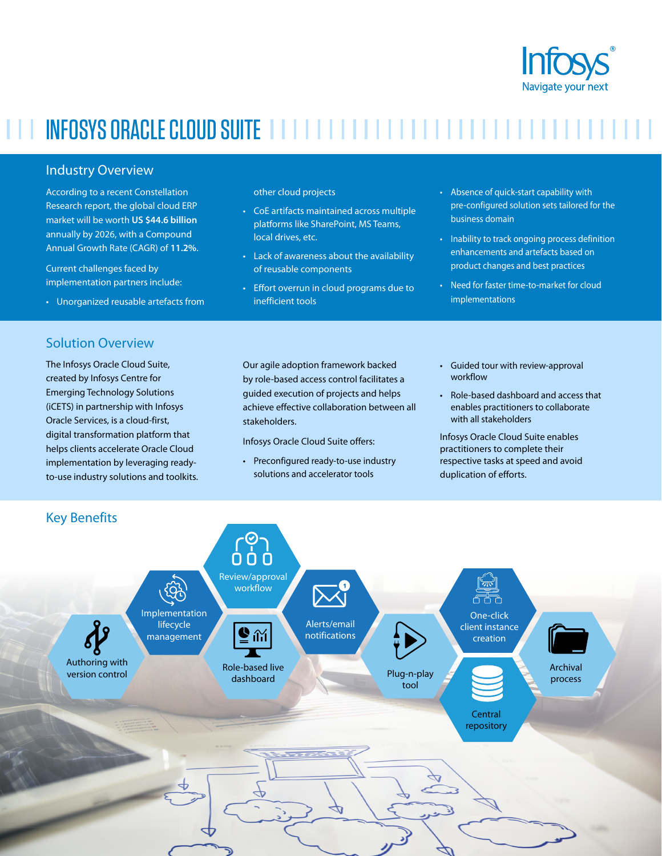

# INFOSYS ORACLE CLOUD SUITE IN INTERNATIONAL INTERNATIONAL INTERNATIONAL INTERNATIONAL

### Industry Overview

According to a recent Constellation Research report, the global cloud ERP market will be worth **US \$44.6 billion** annually by 2026, with a Compound Annual Growth Rate (CAGR) of **11.2%**.

Current challenges faced by implementation partners include:

• Unorganized reusable artefacts from

## Solution Overview

The Infosys Oracle Cloud Suite, created by Infosys Centre for Emerging Technology Solutions (iCETS) in partnership with Infosys Oracle Services, is a cloud-first, digital transformation platform that helps clients accelerate Oracle Cloud implementation by leveraging readyto-use industry solutions and toolkits. other cloud projects

- CoE artifacts maintained across multiple platforms like SharePoint, MS Teams, local drives, etc.
- Lack of awareness about the availability of reusable components
- Effort overrun in cloud programs due to inefficient tools
- Absence of quick-start capability with pre-configured solution sets tailored for the business domain
- Inability to track ongoing process definition enhancements and artefacts based on product changes and best practices
- Need for faster time-to-market for cloud implementations

Our agile adoption framework backed by role-based access control facilitates a guided execution of projects and helps achieve effective collaboration between all stakeholders.

Infosys Oracle Cloud Suite offers:

- Preconfigured ready-to-use industry solutions and accelerator tools
- Guided tour with review-approval workflow
- Role-based dashboard and access that enables practitioners to collaborate with all stakeholders

Infosys Oracle Cloud Suite enables practitioners to complete their respective tasks at speed and avoid duplication of efforts.